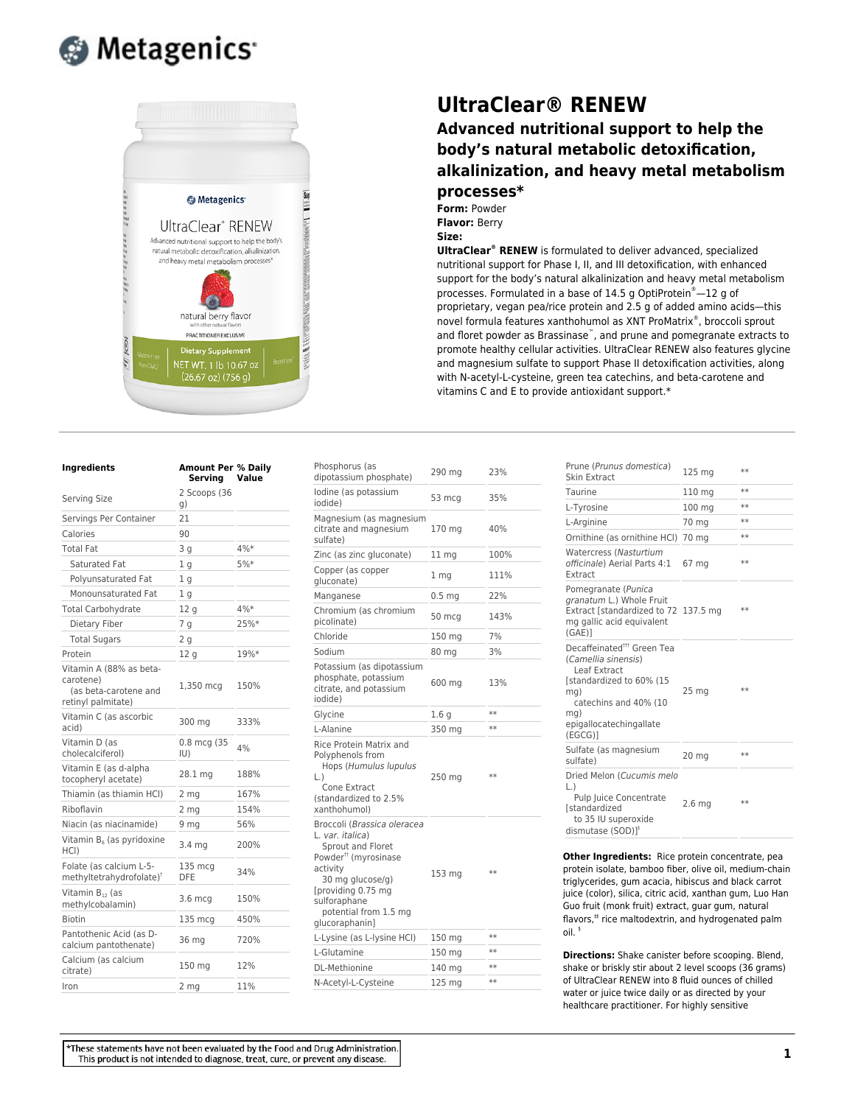



| Ingredients<br>Serving Size                                                         | <b>Amount Per % Daily</b><br>Serving<br>2 Scoops (36<br>g) | Value |
|-------------------------------------------------------------------------------------|------------------------------------------------------------|-------|
|                                                                                     |                                                            |       |
| Calories                                                                            | 90                                                         |       |
| <b>Total Fat</b>                                                                    | 3g                                                         | 4%*   |
| Saturated Fat                                                                       | 1 g                                                        | 5%*   |
| Polyunsaturated Fat                                                                 | 1 g                                                        |       |
| Monounsaturated Fat                                                                 | 1 g                                                        |       |
| <b>Total Carbohydrate</b>                                                           | 12 g                                                       | 4%*   |
| Dietary Fiber                                                                       | 7 g                                                        | 25%*  |
| <b>Total Sugars</b>                                                                 | 2 <sub>g</sub>                                             |       |
| Protein                                                                             | 12 g                                                       | 19%*  |
| Vitamin A (88% as beta-<br>carotene)<br>(as beta-carotene and<br>retinyl palmitate) | 1,350 mcg                                                  | 150%  |
| Vitamin C (as ascorbic<br>acid)                                                     | 300 mg                                                     | 333%  |
| Vitamin D (as<br>cholecalciferol)                                                   | 0.8 mcg (35<br>$ U\rangle$                                 | 4%    |
| Vitamin E (as d-alpha<br>tocopheryl acetate)                                        | 28.1 mg                                                    | 188%  |
| Thiamin (as thiamin HCl)                                                            | 2 mg                                                       | 167%  |
| Riboflavin                                                                          | 2 mg                                                       | 154%  |
| Niacin (as niacinamide)                                                             | 9 mg                                                       | 56%   |
| Vitamin $B_6$ (as pyridoxine<br>HCI)                                                | 3.4 mg                                                     | 200%  |
| Folate (as calcium L-5-<br>methyltetrahydrofolate) <sup>†</sup>                     | 135 mcg<br><b>DFE</b>                                      | 34%   |
| Vitamin B <sub>12</sub> (as<br>methylcobalamin)                                     | $3.6 \text{ mcg}$                                          | 150%  |
| <b>Biotin</b>                                                                       | 135 mcg                                                    | 450%  |
| Pantothenic Acid (as D-<br>calcium pantothenate)                                    | 36 mg                                                      | 720%  |
| Calcium (as calcium<br>citrate)                                                     | 150 mg                                                     | 12%   |
| Iron                                                                                | 2 mg                                                       | 11%   |

## **UltraClear® RENEW**

## **Advanced nutritional support to help the body's natural metabolic detoxification, alkalinization, and heavy metal metabolism**

## **processes\***

**Form:** Powder **Flavor:** Berry **Size:**

**UltraClear® RENEW** is formulated to deliver advanced, specialized nutritional support for Phase I, II, and III detoxification, with enhanced support for the body's natural alkalinization and heavy metal metabolism processes. Formulated in a base of 14.5 g OptiProtein®—12 g of proprietary, vegan pea/rice protein and 2.5 g of added amino acids—this novel formula features xanthohumol as XNT ProMatrix® , broccoli sprout and floret powder as Brassinase<sup>™</sup>, and prune and pomegranate extracts to promote healthy cellular activities. UltraClear RENEW also features glycine and magnesium sulfate to support Phase II detoxification activities, along with N-acetyl-L-cysteine, green tea catechins, and beta-carotene and vitamins C and E to provide antioxidant support.\*

| Phosphorus (as<br>dipotassium phosphate)                                                                                                                                                                                 | 290 mg            | 23%  |
|--------------------------------------------------------------------------------------------------------------------------------------------------------------------------------------------------------------------------|-------------------|------|
| lodine (as potassium<br>iodide)                                                                                                                                                                                          | 53 mcg            | 35%  |
| Magnesium (as magnesium<br>citrate and magnesium<br>sulfate)                                                                                                                                                             | 170 mg            | 40%  |
| Zinc (as zinc gluconate)                                                                                                                                                                                                 | 11 mg             | 100% |
| Copper (as copper<br>gluconate)                                                                                                                                                                                          | 1 mg              | 111% |
| Manganese                                                                                                                                                                                                                | 0.5 <sub>mg</sub> | 22%  |
| Chromium (as chromium<br>picolinate)                                                                                                                                                                                     | 50 mcg            | 143% |
| Chloride                                                                                                                                                                                                                 | 150 mg            | 7%   |
| Sodium                                                                                                                                                                                                                   | 80 mg             | 3%   |
| Potassium (as dipotassium<br>phosphate, potassium<br>citrate, and potassium<br>iodide)                                                                                                                                   | 600 mg            | 13%  |
| Glycine                                                                                                                                                                                                                  | 1.6 g             | **   |
| L-Alanine                                                                                                                                                                                                                | 350 mg            | **   |
| Rice Protein Matrix and<br>Polyphenols from<br>Hops (Humulus lupulus<br>$\lfloor . \rfloor$<br>Cone Extract<br>(standardized to 2.5%<br>xanthohumol)                                                                     | 250 mg            | $**$ |
| Broccoli (Brassica oleracea<br>L. var. italica)<br>Sprout and Floret<br>Powder <sup>#</sup> (myrosinase<br>activity<br>30 mg glucose/g)<br>[providing 0.75 mg<br>sulforaphane<br>potential from 1.5 mg<br>glucoraphanin] | 153 mg            | **   |
| L-Lysine (as L-lysine HCl)                                                                                                                                                                                               | 150 mg            | **   |
| L-Glutamine                                                                                                                                                                                                              | 150 mg            | **   |
| <b>DL-Methionine</b>                                                                                                                                                                                                     | 140 mg            | $**$ |
| N-Acetyl-L-Cysteine                                                                                                                                                                                                      | 125 mg            | $**$ |

| Prune (Prunus domestica)<br>Skin Extract                                                                                                                                              | 125 mg            | $**$ |
|---------------------------------------------------------------------------------------------------------------------------------------------------------------------------------------|-------------------|------|
| Taurine                                                                                                                                                                               | 110 mg            | $**$ |
| L-Tyrosine                                                                                                                                                                            | 100 mg            | $**$ |
| L-Arginine                                                                                                                                                                            | 70 mg             | $**$ |
| Ornithine (as ornithine HCI)                                                                                                                                                          | 70 mg             | $**$ |
| <b>Watercress (Nasturtium</b><br>officinale) Aerial Parts 4:1<br>Extract                                                                                                              | 67 mg             | $**$ |
| Pomegranate (Punica<br>granatum L.) Whole Fruit<br>Extract [standardized to 72 137.5 mg<br>mg gallic acid equivalent<br>(GAE)                                                         |                   | $**$ |
| Decaffeinated <sup>##</sup> Green Tea<br>(Camellia sinensis)<br>Leaf Extract<br>[standardized to 60% (15<br>mg)<br>catechins and 40% (10<br>mg)<br>epigallocatechingallate<br>(EGCG)] | 25 <sub>mg</sub>  | $**$ |
| Sulfate (as magnesium<br>sulfate)                                                                                                                                                     | 20 mg             | $**$ |
| Dried Melon (Cucumis melo<br>L.)<br><b>Pulp Juice Concentrate</b><br><b>Istandardized</b><br>to 35 IU superoxide<br>dismutase (SOD) <sup>1</sup>                                      | 2.6 <sub>mg</sub> | $**$ |

**Other Ingredients:** Rice protein concentrate, pea protein isolate, bamboo fiber, olive oil, medium-chain triglycerides, gum acacia, hibiscus and black carrot juice (color), silica, citric acid, xanthan gum, Luo Han Guo fruit (monk fruit) extract, guar gum, natural flavors,<sup>#</sup> rice maltodextrin, and hydrogenated palm oil. §

**Directions:** Shake canister before scooping. Blend, shake or briskly stir about 2 level scoops (36 grams) of UltraClear RENEW into 8 fluid ounces of chilled water or juice twice daily or as directed by your healthcare practitioner. For highly sensitive